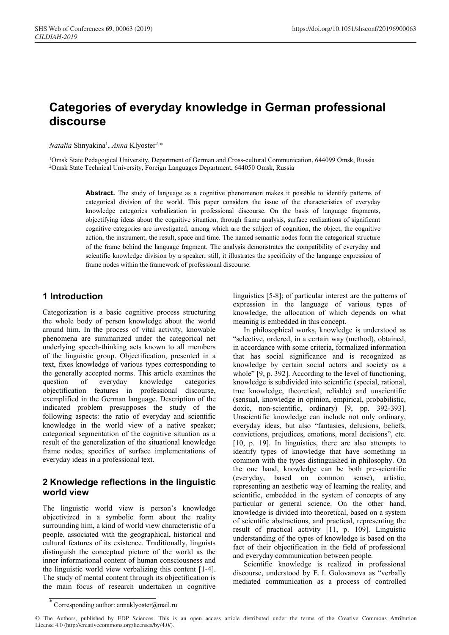# **Categories of everyday knowledge in German professional discourse**

Natalia Shnyakina<sup>1</sup>, Anna Klyoster<sup>2,\*</sup>

1Omsk State Pedagogical University, Department of German and Cross-cultural Communication, 644099 Omsk, Russia 2Omsk State Technical University, Foreign Languages Department, 644050 Omsk, Russia

> Abstract. The study of language as a cognitive phenomenon makes it possible to identify patterns of categorical division of the world. This paper considers the issue of the characteristics of everyday knowledge categories verbalization in professional discourse. On the basis of language fragments, objectifying ideas about the cognitive situation, through frame analysis, surface realizations of significant cognitive categories are investigated, among which are the subject of cognition, the object, the cognitive action, the instrument, the result, space and time. The named semantic nodes form the categorical structure of the frame behind the language fragment. The analysis demonstrates the compatibility of everyday and scientific knowledge division by a speaker; still, it illustrates the specificity of the language expression of frame nodes within the framework of professional discourse.

## **1 Introduction**

Categorization is a basic cognitive process structuring the whole body of person knowledge about the world around him. In the process of vital activity, knowable phenomena are summarized under the categorical net underlying speech-thinking acts known to all members of the linguistic group. Objectification, presented in a text, fixes knowledge of various types corresponding to the generally accepted norms. This article examines the question of everyday knowledge categories objectification features in professional discourse, exemplified in the German language. Description of the indicated problem presupposes the study of the following aspects: the ratio of everyday and scientific knowledge in the world view of a native speaker; categorical segmentation of the cognitive situation as a result of the generalization of the situational knowledge frame nodes; specifics of surface implementations of everyday ideas in a professional text.

## **2 Knowledge reflections in the linguistic world view**

The linguistic world view is person's knowledge objectivized in a symbolic form about the reality surrounding him, a kind of world view characteristic of a people, associated with the geographical, historical and cultural features of its existence. Traditionally, linguists distinguish the conceptual picture of the world as the inner informational content of human consciousness and the linguistic world view verbalizing this content [1-4]. The study of mental content through its objectification is the main focus of research undertaken in cognitive

linguistics [5-8]; of particular interest are the patterns of expression in the language of various types of knowledge, the allocation of which depends on what meaning is embedded in this concept.

In philosophical works, knowledge is understood as "selective, ordered, in a certain way (method), obtained, in accordance with some criteria, formalized information that has social significance and is recognized as knowledge by certain social actors and society as a whole" [9, p. 392]. According to the level of functioning, knowledge is subdivided into scientific (special, rational, true knowledge, theoretical, reliable) and unscientific (sensual, knowledge in opinion, empirical, probabilistic, doxic, non-scientific, ordinary) [9, pp. 392-393]. Unscientific knowledge can include not only ordinary, everyday ideas, but also "fantasies, delusions, beliefs, convictions, prejudices, emotions, moral decisions", etc. [10, p. 19]. In linguistics, there are also attempts to identify types of knowledge that have something in common with the types distinguished in philosophy. On the one hand, knowledge can be both pre-scientific (everyday, based on common sense), artistic, representing an aesthetic way of learning the reality, and scientific, embedded in the system of concepts of any particular or general science. On the other hand, knowledge is divided into theoretical, based on a system of scientific abstractions, and practical, representing the result of practical activity [11, p. 109]. Linguistic understanding of the types of knowledge is based on the fact of their objectification in the field of professional and everyday communication between people.

Scientific knowledge is realized in professional discourse, understood by E. I. Golovanova as "verbally mediated communication as a process of controlled

<sup>\*</sup> Corresponding author: annaklyoster@mail.ru

<sup>©</sup> The Authors, published by EDP Sciences. This is an open access article distributed under the terms of the Creative Commons Attribution License 4.0 (http://creativecommons.org/licenses/by/4.0/).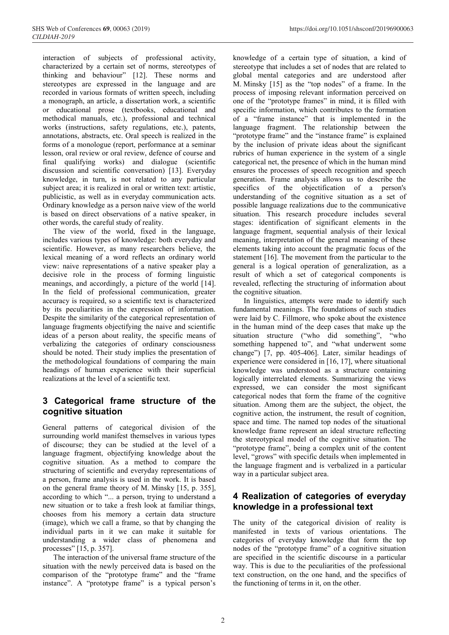interaction of subjects of professional activity, characterized by a certain set of norms, stereotypes of thinking and behaviour" [12]. These norms and stereotypes are expressed in the language and are recorded in various formats of written speech, including a monograph, an article, a dissertation work, a scientific or educational prose (textbooks, educational and methodical manuals, etc.), professional and technical works (instructions, safety regulations, etc.), patents, annotations, abstracts, etc. Oral speech is realized in the forms of a monologue (report, performance at a seminar lesson, oral review or oral review, defence of course and final qualifying works) and dialogue (scientific discussion and scientific conversation) [13]. Everyday knowledge, in turn, is not related to any particular subject area; it is realized in oral or written text: artistic, publicistic, as well as in everyday communication acts. Ordinary knowledge as a person naive view of the world is based on direct observations of a native speaker, in other words, the careful study of reality.

The view of the world, fixed in the language, includes various types of knowledge: both everyday and scientific. However, as many researchers believe, the lexical meaning of a word reflects an ordinary world view: naive representations of a native speaker play a decisive role in the process of forming linguistic meanings, and accordingly, a picture of the world [14]. In the field of professional communication, greater accuracy is required, so a scientific text is characterized by its peculiarities in the expression of information. Despite the similarity of the categorical representation of language fragments objectifying the naive and scientific ideas of a person about reality, the specific means of verbalizing the categories of ordinary consciousness should be noted. Their study implies the presentation of the methodological foundations of comparing the main headings of human experience with their superficial realizations at the level of a scientific text.

# **3 Categorical frame structure of the cognitive situation**

General patterns of categorical division of the surrounding world manifest themselves in various types of discourse; they can be studied at the level of a language fragment, objectifying knowledge about the cognitive situation. As a method to compare the structuring of scientific and everyday representations of a person, frame analysis is used in the work. It is based on the general frame theory of M. Minsky [15, p. 355], according to which "... a person, trying to understand a new situation or to take a fresh look at familiar things, chooses from his memory a certain data structure (image), which we call a frame, so that by changing the individual parts in it we can make it suitable for understanding a wider class of phenomena and processes" [15, p. 357].

The interaction of the universal frame structure of the situation with the newly perceived data is based on the comparison of the "prototype frame" and the "frame instance". A "prototype frame" is a typical person's knowledge of a certain type of situation, a kind of stereotype that includes a set of nodes that are related to global mental categories and are understood after M. Minsky [15] as the "top nodes" of a frame. In the process of imposing relevant information perceived on one of the "prototype frames" in mind, it is filled with specific information, which contributes to the formation of a "frame instance" that is implemented in the language fragment. The relationship between the "prototype frame" and the "instance frame" is explained by the inclusion of private ideas about the significant rubrics of human experience in the system of a single categorical net, the presence of which in the human mind ensures the processes of speech recognition and speech generation. Frame analysis allows us to describe the specifics of the objectification of a person's understanding of the cognitive situation as a set of possible language realizations due to the communicative situation. This research procedure includes several stages: identification of significant elements in the language fragment, sequential analysis of their lexical meaning, interpretation of the general meaning of these elements taking into account the pragmatic focus of the statement [16]. The movement from the particular to the general is a logical operation of generalization, as a result of which a set of categorical components is revealed, reflecting the structuring of information about the cognitive situation.

In linguistics, attempts were made to identify such fundamental meanings. The foundations of such studies were laid by C. Fillmore, who spoke about the existence in the human mind of the deep cases that make up the situation structure ("who did something", "who something happened to", and "what underwent some change") [7, pp. 405-406]. Later, similar headings of experience were considered in [16, 17], where situational knowledge was understood as a structure containing logically interrelated elements. Summarizing the views expressed, we can consider the most significant categorical nodes that form the frame of the cognitive situation. Among them are the subject, the object, the cognitive action, the instrument, the result of cognition, space and time. The named top nodes of the situational knowledge frame represent an ideal structure reflecting the stereotypical model of the cognitive situation. The "prototype frame", being a complex unit of the content level, "grows" with specific details when implemented in the language fragment and is verbalized in a particular way in a particular subject area.

# **4 Realization of categories of everyday knowledge in a professional text**

The unity of the categorical division of reality is manifested in texts of various orientations. The categories of everyday knowledge that form the top nodes of the "prototype frame" of a cognitive situation are specified in the scientific discourse in a particular way. This is due to the peculiarities of the professional text construction, on the one hand, and the specifics of the functioning of terms in it, on the other.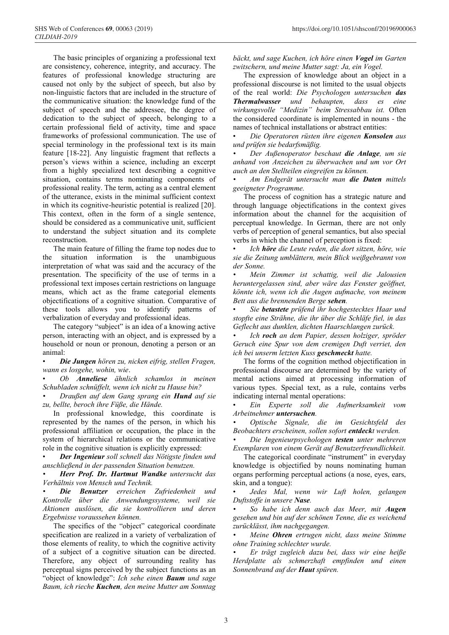The basic principles of organizing a professional text are consistency, coherence, integrity, and accuracy. The features of professional knowledge structuring are caused not only by the subject of speech, but also by non-linguistic factors that are included in the structure of the communicative situation: the knowledge fund of the subject of speech and the addressee, the degree of dedication to the subject of speech, belonging to a certain professional field of activity, time and space frameworks of professional communication. The use of special terminology in the professional text is its main feature [18-22]. Any linguistic fragment that reflects a person's views within a science, including an excerpt from a highly specialized text describing a cognitive situation, contains terms nominating components of professional reality. The term, acting as a central element of the utterance, exists in the minimal sufficient context in which its cognitive-heuristic potential is realized [20]. This context, often in the form of a single sentence, should be considered as a communicative unit, sufficient to understand the subject situation and its complete reconstruction.

The main feature of filling the frame top nodes due to the situation information is the unambiguous interpretation of what was said and the accuracy of the presentation. The specificity of the use of terms in a professional text imposes certain restrictions on language means, which act as the frame categorial elements objectifications of a cognitive situation. Comparative of these tools allows you to identify patterns of verbalization of everyday and professional ideas.

The category "subject" is an idea of a knowing active person, interacting with an object, and is expressed by a household or noun or pronoun, denoting a person or an animal:

• *Die Jungen hören zu, nicken eifrig, stellen Fragen, wann es losgehe, wohin, wie*.

• *Ob Anneliese ähnlich schamlos in meinen Schubladen schnüffelt, wenn ich nicht zu Hause bin?*

*• Draußen auf dem Gang sprang ein Hund auf sie zu, bellte, beroch ihre Füße, die Hände.*

In professional knowledge, this coordinate is represented by the names of the person, in which his professional affiliation or occupation, the place in the system of hierarchical relations or the communicative role in the cognitive situation is explicitly expressed:

• *Der Ingenieur soll schnell das Nötigste finden und anschließend in der passenden Situation benutzen.*

*• Herr Prof. Dr. Hartmut Wandke untersucht das Verhältnis von Mensch und Technik.*

*• Die Benutzer erreichen Zufriedenheit und Kontrolle über die Anwendungssysteme, weil sie Aktionen auslösen, die sie kontrollieren und deren Ergebnisse voraussehen können.* 

The specifics of the "object" categorical coordinate specification are realized in a variety of verbalization of those elements of reality, to which the cognitive activity of a subject of a cognitive situation can be directed. Therefore, any object of surrounding reality has perceptual signs perceived by the subject functions as an "object of knowledge": *Ich sehe einen Baum und sage Baum, ich rieche Kuchen, den meine Mutter am Sonntag*  *bäckt, und sage Kuchen, ich höre einen Vogel im Garten zwitschern, und meine Mutter sagt: Ja, ein Vogel.*

The expression of knowledge about an object in a professional discourse is not limited to the usual objects of the real world: *Die Psychologen untersuchen das Thermalwasser und behaupten, dass es eine wirkungsvolle "Medizin" beim Stressabbau ist.* Often the considered coordinate is implemented in nouns - the names of technical installations or abstract entities:

• *Die Operatoren rüsten ihre eigenen Konsolen aus und prüfen sie bedarfsmäßig.*

*• Der Außenoperator beschaut die Anlage, um sie anhand von Anzeichen zu überwachen und um vor Ort auch an den Stellteilen eingreifen zu können.*

*• Am Endgerät untersucht man die Daten mittels geeigneter Programme.* 

The process of cognition has a strategic nature and through language objectifications in the context gives information about the channel for the acquisition of perceptual knowledge. In German, there are not only verbs of perception of general semantics, but also special verbs in which the channel of perception is fixed:

• *Ich höre die Leute reden, die dort sitzen, höre, wie sie die Zeitung umblättern, mein Blick weißgebrannt von der Sonne.*

*• Mein Zimmer ist schattig, weil die Jalousien heruntergelassen sind, aber wäre das Fenster geöffnet, könnte ich, wenn ich die Augen aufmache, von meinem Bett aus die brennenden Berge sehen.*

• *Sie betastete prüfend ihr hochgestecktes Haar und stopfte eine Strähne, die ihr über die Schläfe fiel, in das Geflecht aus dunklen, dichten Haarschlangen zurück.*

*• Ich roch an dem Papier, dessen holziger, spröder Geruch eine Spur von dem cremigen Duft verriet, den ich bei unserm letzten Kuss geschmeckt hatte.*

The forms of the cognition method objectification in professional discourse are determined by the variety of mental actions aimed at processing information of various types. Special text, as a rule, contains verbs indicating internal mental operations:

• *Ein Experte soll die Aufmerksamkeit vom Arbeitnehmer untersuchen.*

*• Optische Signale, die im Gesichtsfeld des Beobachters erscheinen, sollen sofort entdeckt werden.*

*• Die Ingenieurpsychologen testen unter mehreren Exemplaren von einem Gerät auf Benutzerfreundlichkeit.*

The categorical coordinate "instrument" in everyday knowledge is objectified by nouns nominating human organs performing perceptual actions (a nose, eyes, ears, skin, and a tongue):

• *Jedes Mal, wenn wir Luft holen, gelangen Duftstoffe in unsere Nase.*

*• So habe ich denn auch das Meer, mit Augen gesehen und bin auf der schönen Tenne, die es weichend zurücklässt, ihm nachgegangen.*

*• Meine Ohren ertrugen nicht, dass meine Stimme ohne Training schlechter wurde.*

*• Er trägt zugleich dazu bei, dass wir eine heiße Herdplatte als schmerzhaft empfinden und einen Sonnenbrand auf der Haut spüren.*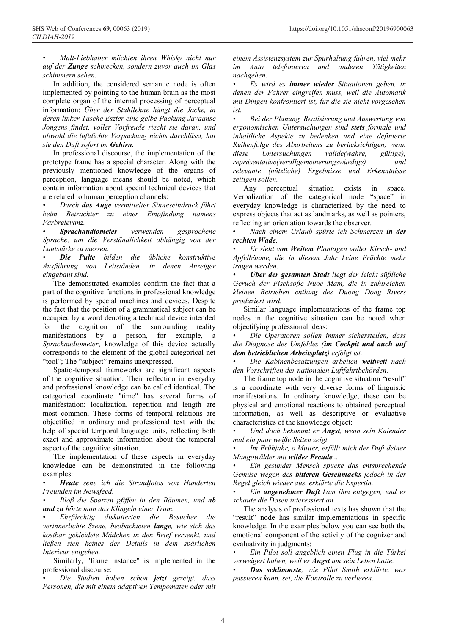*• Malt-Liebhaber möchten ihren Whisky nicht nur auf der Zunge schmecken, sondern zuvor auch im Glas schimmern sehen.*

In addition, the considered semantic node is often implemented by pointing to the human brain as the most complete organ of the internal processing of perceptual information: *Über der Stuhllehne hängt die Jacke, in deren linker Tasche Eszter eine gelbe Packung Javaanse Jongens findet, voller Vorfreude riecht sie daran, und obwohl die luftdichte Verpackung nichts durchlässt, hat sie den Duft sofort im Gehirn.*

In professional discourse, the implementation of the prototype frame has a special character. Along with the previously mentioned knowledge of the organs of perception, language means should be noted, which contain information about special technical devices that are related to human perception channels:

*• Durch das Auge vermittelter Sinneseindruck führt beim Betrachter zu einer Empfindung namens Farbrelevanz.* 

*• Sprachaudiometer verwenden gesprochene Sprache, um die Verständlichkeit abhängig von der Lautstärke zu messen.*

*• Die Pulte bilden die übliche konstruktive Ausführung von Leitständen, in denen Anzeiger eingebaut sind.*

The demonstrated examples confirm the fact that a part of the cognitive functions in professional knowledge is performed by special machines and devices. Despite the fact that the position of a grammatical subject can be occupied by a word denoting a technical device intended for the cognition of the surrounding reality manifestations by a person, for example, a *Sprachaudiometer*, knowledge of this device actually corresponds to the element of the global categorical net "tool"; The "subject" remains unexpressed.

Spatio-temporal frameworks are significant aspects of the cognitive situation. Their reflection in everyday and professional knowledge can be called identical. The categorical coordinate "time" has several forms of manifestation: localization, repetition and length are most common. These forms of temporal relations are objectified in ordinary and professional text with the help of special temporal language units, reflecting both exact and approximate information about the temporal aspect of the cognitive situation.

The implementation of these aspects in everyday knowledge can be demonstrated in the following examples:

*• Heute sehe ich die Strandfotos von Hunderten Freunden im Newsfeed.* 

*• Bloß die Spatzen pfiffen in den Bäumen, und ab und zu hörte man das Klingeln einer Tram.*

*• Ehrfürchtig diskutierten die Besucher die verinnerlichte Szene, beobachteten lange, wie sich das kostbar gekleidete Mädchen in den Brief versenkt, und ließen sich keines der Details in dem spärlichen Interieur entgehen.*

Similarly, "frame instance" is implemented in the professional discourse:

*• Die Studien haben schon jetzt gezeigt, dass Personen, die mit einem adaptiven Tempomaten oder mit* 

*einem Assistenzsystem zur Spurhaltung fahren, viel mehr im Auto telefonieren und anderen Tätigkeiten nachgehen.*

*• Es wird es immer wieder Situationen geben, in denen der Fahrer eingreifen muss, weil die Automatik mit Dingen konfrontiert ist, für die sie nicht vorgesehen ist.*

*• Bei der Planung, Realisierung und Auswertung von ergonomischen Untersuchungen sind stets formale und inhaltliche Aspekte zu bedenken und eine definierte Reihenfolge des Abarbeitens zu berücksichtigen, wenn diese Untersuchungen valide(wahre, gültige), repräsentative(verallgemeinerungswürdige) und relevante (nützliche) Ergebnisse und Erkenntnisse zeitigen sollen.*

Any perceptual situation exists in space. Verbalization of the categorical node "space" in everyday knowledge is characterized by the need to express objects that act as landmarks, as well as pointers, reflecting an orientation towards the observer.

• *Nach einem Urlaub spürte ich Schmerzen in der rechten Wade.*

*• Er sieht von Weitem Plantagen voller Kirsch- und Apfelbäume, die in diesem Jahr keine Früchte mehr tragen werden.*

*• Über der gesamten Stadt liegt der leicht süßliche Geruch der Fischsoße Nuoc Mam, die in zahlreichen kleinen Betrieben entlang des Duong Dong Rivers produziert wird.*

Similar language implementations of the frame top nodes in the cognitive situation can be noted when objectifying professional ideas:

*• Die Operatoren sollen immer sicherstellen, dass die Diagnose des Umfeldes (im Cockpit und auch auf dem betrieblichen Arbeitsplatz) erfolgt ist.*

*• Die Kabinenbesatzungen arbeiten weltweit nach den Vorschriften der nationalen Luftfahrtbehörden.*

The frame top node in the cognitive situation "result" is a coordinate with very diverse forms of linguistic manifestations. In ordinary knowledge, these can be physical and emotional reactions to obtained perceptual information, as well as descriptive or evaluative characteristics of the knowledge object:

*• Und doch bekommt er Angst, wenn sein Kalender mal ein paar weiße Seiten zeigt.*

*• Im Frühjahr, o Mutter, erfüllt mich der Duft deiner Mangowälder mit wilder Freude...*

*• Ein gesunder Mensch spucke das entsprechende Gemüse wegen des bitteren Geschmacks jedoch in der Regel gleich wieder aus, erklärte die Expertin.*

*• Ein angenehmer Duft kam ihm entgegen, und es schaute die Dosen interessiert an.*

The analysis of professional texts has shown that the "result" node has similar implementations in specific knowledge. In the examples below you can see both the emotional component of the activity of the cognizer and evaluativity in judgments:

*• Ein Pilot soll angeblich einen Flug in die Türkei verweigert haben, weil er Angst um sein Leben hatte.*

*• Das schlimmste, wie Pilot Smith erklärte, was passieren kann, sei, die Kontrolle zu verlieren.*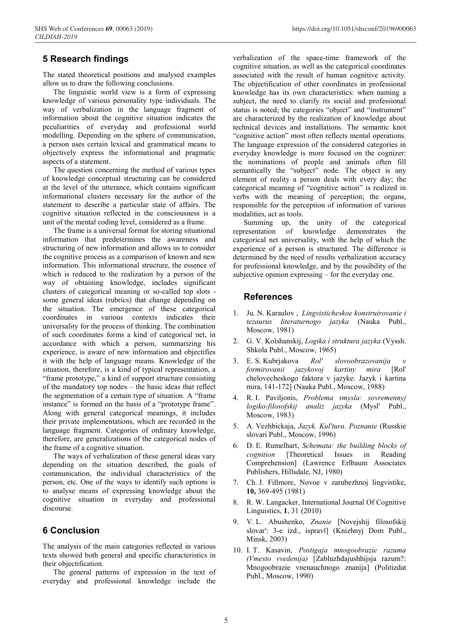## **5 Research findings**

The stated theoretical positions and analysed examples allow us to draw the following conclusions.

The linguistic world view is a form of expressing knowledge of various personality type individuals. The way of verbalization in the language fragment of information about the cognitive situation indicates the peculiarities of everyday and professional world modelling. Depending on the sphere of communication, a person uses certain lexical and grammatical means to objectively express the informational and pragmatic aspects of a statement.

The question concerning the method of various types of knowledge conceptual structuring can be considered at the level of the utterance, which contains significant informational clusters necessary for the author of the statement to describe a particular state of affairs. The cognitive situation reflected in the consciousness is a unit of the mental coding level, considered as a frame.

The frame is a universal format for storing situational information that predetermines the awareness and structuring of new information and allows us to consider the cognitive process as a comparison of known and new information. This informational structure, the essence of which is reduced to the realization by a person of the way of obtaining knowledge, includes significant clusters of categorical meaning or so-called top slots some general ideas (rubrics) that change depending on the situation. The emergence of these categorical coordinates in various contexts indicates their universality for the process of thinking. The combination of such coordinates forms a kind of categorical net, in accordance with which a person, summarizing his experience, is aware of new information and objectifies it with the help of language means. Knowledge of the situation, therefore, is a kind of typical representation, a "frame prototype," a kind of support structure consisting of the mandatory top nodes – the basic ideas that reflect the segmentation of a certain type of situation. A "frame instance" is formed on the basis of a "prototype frame". Along with general categorical meanings, it includes their private implementations, which are recorded in the language fragment. Categories of ordinary knowledge, therefore, are generalizations of the categorical nodes of the frame of a cognitive situation.

The ways of verbalization of these general ideas vary depending on the situation described, the goals of communication, the individual characteristics of the person, etc. One of the ways to identify such options is to analyse means of expressing knowledge about the cognitive situation in everyday and professional discourse.

#### **6 Conclusion**

The analysis of the main categories reflected in various texts showed both general and specific characteristics in their objectification.

The general patterns of expression in the text of everyday and professional knowledge include the

verbalization of the space-time framework of the cognitive situation, as well as the categorical coordinates associated with the result of human cognitive activity. The objectification of other coordinates in professional knowledge has its own characteristics: when naming a subject, the need to clarify its social and professional status is noted; the categories "object" and "instrument" are characterized by the realization of knowledge about technical devices and installations. The semantic knot "cognitive action" most often reflects mental operations. The language expression of the considered categories in everyday knowledge is more focused on the cognizer: the nominations of people and animals often fill semantically the "subject" node. The object is any element of reality a person deals with every day; the categorical meaning of "cognitive action" is realized in verbs with the meaning of perception; the organs, responsible for the perception of information of various modalities, act as tools.

Summing up, the unity of the categorical resentation of knowledge demonstrates the representation of knowledge demonstrates the categorical net universality, with the help of which the experience of a person is structured. The difference is determined by the need of results verbalization accuracy for professional knowledge, and by the possibility of the subjective opinion expressing – for the everyday one.

#### **References**

- 1. Ju. N. Karaulov , *Lingvisticheskoe konstruirovanie i tezaurus literaturnogo jazyka* (Nauka Publ., Moscow, 1981)
- 2. G. V. Kolshanskij, *Logika i struktura jazyka* (Vyssh. Shkola Publ., Moscow, 1965)
- 3. E. S. Kubrjakova *Rol' slovoobrazovanija v formirovanii jazykovoj kartiny mira* [Rol' chelovecheskogo faktora v jazyke: Jazyk i kartina mira, 141-172] (Nauka Publ., Moscow, 1988)
- 4. R. I. Paviljonis, *Problema smysla: sovremennyj logiko-filosofskij analiz jazyka* (Mysl' Publ., Moscow, 1983)
- 5. A. Vezhbickaja, *Jazyk. Kul'tura. Poznanie* (Russkie slovari Publ., Moscow, 1996)
- 6. D. E. Rumelhart, *Schemata: the building blocks of cognition* [Theoretical Issues in Reading Comprehension] (Lawrence Erlbaum Associates Publishers, Hillsdale, NJ, 1980)
- 7. Ch. J. Fillmore, Novoe v zarubezhnoj lingvistike, **10,** 369-495 (1981)
- 8. R. W. Langacker, International Journal Of Cognitive Linguistics, **1**, 31 (2010)
- 9. V. L. Abushenko, *Znanie* [Novejshij filosofskij slovar': 3-e izd., ispravl] (Knizhnyj Dom Publ., Minsk, 2003)
- 10. I. T. Kasavin, *Postigaja mnogoobrazie razuma (Vmesto vvedenija)* [Zabluzhdajushhijsja razum?: Mnogoobrazie vnenauchnogo znanija] (Politizdat Publ., Moscow, 1990)